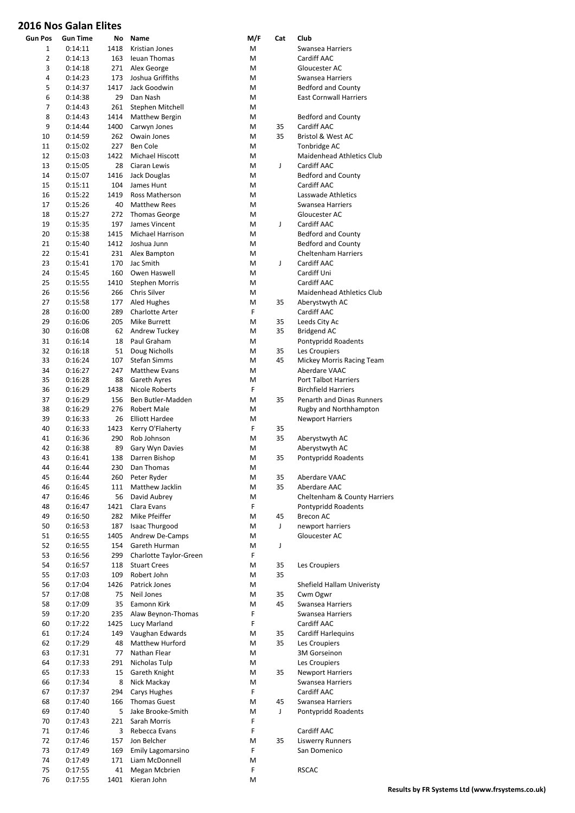## **2016 Nos Galan Elites**

| <b>Gun Pos</b> | <b>Gun Time</b> | No   | Name                   | M/F         | Cat | Club                             |
|----------------|-----------------|------|------------------------|-------------|-----|----------------------------------|
| 1              | 0:14:11         | 1418 | Kristian Jones         | М           |     | Swansea Harriers                 |
| $\overline{2}$ | 0:14:13         | 163  | Ieuan Thomas           | M           |     | Cardiff AAC                      |
| 3              | 0:14:18         | 271  | Alex George            | M           |     | Gloucester AC                    |
| 4              | 0:14:23         | 173  | Joshua Griffiths       | M           |     | Swansea Harriers                 |
| 5              | 0:14:37         | 1417 | Jack Goodwin           | М           |     | <b>Bedford and County</b>        |
| 6              | 0:14:38         | 29   | Dan Nash               | М           |     | <b>East Cornwall Harriers</b>    |
| 7              | 0:14:43         | 261  | Stephen Mitchell       | M           |     |                                  |
| 8              | 0:14:43         | 1414 | Matthew Bergin         | M           |     | Bedford and County               |
| 9              | 0:14:44         | 1400 | Carwyn Jones           | M           | 35  | Cardiff AAC                      |
| 10             | 0:14:59         | 262  | Owain Jones            | M           | 35  | Bristol & West AC                |
| 11             | 0:15:02         | 227  | Ben Cole               | M           |     | Tonbridge AC                     |
| 12             | 0:15:03         | 1422 | Michael Hiscott        | M           |     | <b>Maidenhead Athletics Club</b> |
| 13             | 0:15:05         | 28   | Ciaran Lewis           | M           | J   | Cardiff AAC                      |
| 14             | 0:15:07         | 1416 | Jack Douglas           | Μ           |     | <b>Bedford and County</b>        |
| 15             | 0:15:11         | 104  | James Hunt             | M           |     | Cardiff AAC                      |
| 16             | 0:15:22         | 1419 | Ross Matherson         | M           |     | Lasswade Athletics               |
| 17             | 0:15:26         | 40   | <b>Matthew Rees</b>    | M           |     | Swansea Harriers                 |
| 18             | 0:15:27         | 272  | <b>Thomas George</b>   | M           |     | Gloucester AC                    |
| 19             | 0:15:35         | 197  | James Vincent          | M           | J   | Cardiff AAC                      |
| 20             | 0:15:38         | 1415 | Michael Harrison       | M           |     | Bedford and County               |
| 21             | 0:15:40         | 1412 | Joshua Junn            | M           |     | <b>Bedford and County</b>        |
| 22             | 0:15:41         | 231  | Alex Bampton           | M           |     | <b>Cheltenham Harriers</b>       |
| 23             | 0:15:41         | 170  | Jac Smith              | M           | J   | Cardiff AAC                      |
| 24             | 0:15:45         | 160  | Owen Haswell           | M           |     | Cardiff Uni                      |
| 25             | 0:15:55         | 1410 | <b>Stephen Morris</b>  | M           |     | Cardiff AAC                      |
| 26             | 0:15:56         | 266  | Chris Silver           | M           |     | Maidenhead Athletics Club        |
| 27             | 0:15:58         | 177  | Aled Hughes            | M           | 35  | Aberystwyth AC                   |
| 28             | 0:16:00         | 289  | <b>Charlotte Arter</b> | F           |     | Cardiff AAC                      |
| 29             | 0:16:06         | 205  | Mike Burrett           | M           | 35  | Leeds City Ac                    |
| 30             | 0:16:08         | 62   | Andrew Tuckey          | M           | 35  | <b>Bridgend AC</b>               |
| 31             | 0:16:14         | 18   | Paul Graham            | М           |     | Pontypridd Roadents              |
| 32             | 0:16:18         | 51   | Doug Nicholls          | M           | 35  | Les Croupiers                    |
| 33             | 0:16:24         | 107  | <b>Stefan Simms</b>    | M           | 45  | Mickey Morris Racing Team        |
| 34             | 0:16:27         | 247  | <b>Matthew Evans</b>   | M           |     | <b>Aberdare VAAC</b>             |
| 35             | 0:16:28         | 88   | Gareth Ayres           | M           |     | <b>Port Talbot Harriers</b>      |
| 36             | 0:16:29         | 1438 | Nicole Roberts         | F           |     | <b>Birchfield Harriers</b>       |
| 37             | 0:16:29         | 156  | Ben Butler-Madden      | M           | 35  | <b>Penarth and Dinas Runners</b> |
| 38             | 0:16:29         | 276  | Robert Male            | M           |     | Rugby and Northhampton           |
| 39             | 0:16:33         | 26   | <b>Elliott Hardee</b>  | M           |     | <b>Newport Harriers</b>          |
| 40             | 0:16:33         | 1423 | Kerry O'Flaherty       | F           | 35  |                                  |
| 41             | 0:16:36         | 290  | Rob Johnson            | M           | 35  |                                  |
| 42             | 0:16:38         | 89   | Gary Wyn Davies        | M           |     | Aberystwyth AC<br>Aberystwyth AC |
| 43             |                 | 138  |                        | M           | 35  | Pontypridd Roadents              |
|                | 0:16:41         |      | Darren Bishop          |             |     |                                  |
| 44<br>45       | 0:16:44         | 230  | Dan Thomas             | М<br>M      |     |                                  |
|                | 0:16:44         | 260  | Peter Ryder            |             | 35  | Aberdare VAAC                    |
| 46             | 0:16:45         | 111  | Matthew Jacklin        | M           | 35  | Aberdare AAC                     |
| 47             | 0:16:46         | 56   | David Aubrey           | M           |     | Cheltenham & County Harriers     |
| 48             | 0:16:47         | 1421 | Clara Evans            | F           |     | Pontypridd Roadents              |
| 49             | 0:16:50         | 282  | Mike Pfeiffer          | M           | 45  | <b>Brecon AC</b>                 |
| 50             | 0:16:53         | 187  | <b>Isaac Thurgood</b>  | М           | J   | newport harriers                 |
| 51             | 0:16:55         | 1405 | <b>Andrew De-Camps</b> | M           |     | Gloucester AC                    |
| 52             | 0:16:55         | 154  | Gareth Hurman          | М           | J   |                                  |
| 53             | 0:16:56         | 299  | Charlotte Taylor-Green | F           |     |                                  |
| 54             | 0:16:57         | 118  | <b>Stuart Crees</b>    | M           | 35  | Les Croupiers                    |
| 55             | 0:17:03         | 109  | Robert John            | M           | 35  |                                  |
| 56             | 0:17:04         | 1426 | Patrick Jones          | M           |     | Shefield Hallam Univeristy       |
| 57             | 0:17:08         | 75   | Neil Jones             | M           | 35  | Cwm Ogwr                         |
| 58             | 0:17:09         | 35   | Eamonn Kirk            | M           | 45  | Swansea Harriers                 |
| 59             | 0:17:20         | 235  | Alaw Beynon-Thomas     | $\mathsf F$ |     | Swansea Harriers                 |
| 60             | 0:17:22         | 1425 | Lucy Marland           | F           |     | Cardiff AAC                      |
| 61             | 0:17:24         | 149  | Vaughan Edwards        | M           | 35  | Cardiff Harlequins               |
| 62             | 0:17:29         | 48   | Matthew Hurford        | M           | 35  | Les Croupiers                    |
| 63             | 0:17:31         | 77   | Nathan Flear           | М           |     | 3M Gorseinon                     |
| 64             | 0:17:33         | 291  | Nicholas Tulp          | M           |     | Les Croupiers                    |
| 65             | 0:17:33         | 15   | Gareth Knight          | М           | 35  | <b>Newport Harriers</b>          |
| 66             | 0:17:34         | 8    | Nick Mackay            | М           |     | Swansea Harriers                 |
| 67             | 0:17:37         | 294  | Carys Hughes           | F           |     | Cardiff AAC                      |
| 68             | 0:17:40         | 166  | <b>Thomas Guest</b>    | M           | 45  | Swansea Harriers                 |
| 69             | 0:17:40         | 5    | Jake Brooke-Smith      | M           | J   | Pontypridd Roadents              |
| 70             | 0:17:43         | 221  | Sarah Morris           | F           |     |                                  |
| 71             | 0:17:46         | 3    | Rebecca Evans          | F           |     | Cardiff AAC                      |
| 72             | 0:17:46         | 157  | Jon Belcher            | M           | 35  | <b>Liswerry Runners</b>          |
| 73             | 0:17:49         | 169  | Emily Lagomarsino      | F           |     | San Domenico                     |
| 74             | 0:17:49         | 171  | Liam McDonnell         | М           |     |                                  |
| 75             | 0:17:55         | 41   | Megan Mcbrien          | F           |     | <b>RSCAC</b>                     |
| 76             | 0:17:55         | 1401 | Kieran John            | M           |     |                                  |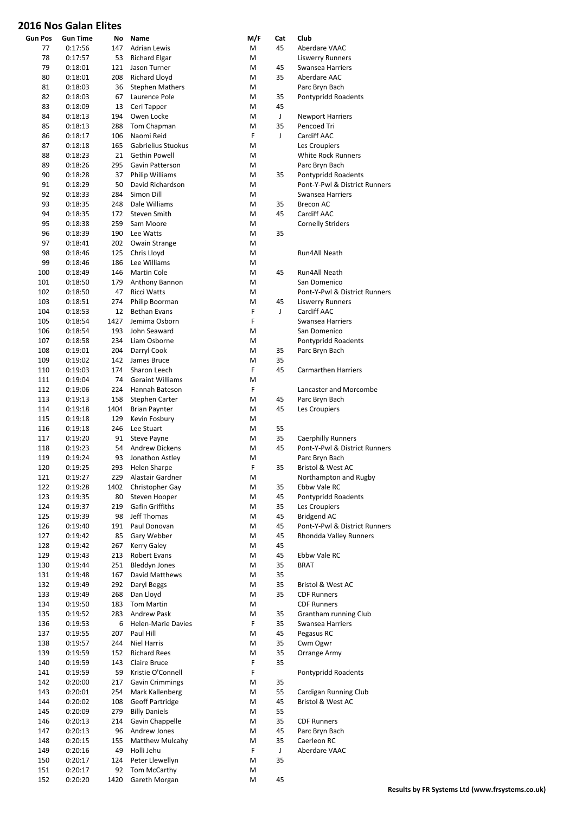## **2016 Nos Galan Elites**

| <b>Gun Pos</b> | Gun Time           | No.      | Name                                       | M/F    | Cat | Club                                                 |
|----------------|--------------------|----------|--------------------------------------------|--------|-----|------------------------------------------------------|
| 77             | 0:17:56            | 147      | <b>Adrian Lewis</b>                        | M      | 45  | Aberdare VAAC                                        |
| 78             | 0:17:57            | 53       | Richard Elgar                              | M      |     | <b>Liswerry Runners</b>                              |
| 79             | 0:18:01            | 121      | Jason Turner                               | M      | 45  | Swansea Harriers                                     |
| 80             | 0:18:01            | 208      | Richard Lloyd                              | M      | 35  | Aberdare AAC                                         |
| 81             | 0:18:03            | 36       | <b>Stephen Mathers</b>                     | M      |     | Parc Bryn Bach                                       |
| 82             | 0:18:03            | 67       | Laurence Pole                              | M      | 35  | Pontypridd Roadents                                  |
| 83             | 0:18:09            | 13       | Ceri Tapper                                | M      | 45  |                                                      |
| 84             | 0:18:13            | 194      | Owen Locke                                 | M      | J   | <b>Newport Harriers</b>                              |
| 85             | 0:18:13            | 288      | Tom Chapman                                | M      | 35  | Pencoed Tri                                          |
| 86             | 0:18:17            | 106      | Naomi Reid                                 | F      | J   | Cardiff AAC                                          |
| 87             | 0:18:18            | 165      | Gabrielius Stuokus                         | M      |     | Les Croupiers                                        |
| 88             | 0:18:23            | 21       | Gethin Powell                              | M      |     | <b>White Rock Runners</b>                            |
| 89             | 0:18:26            | 295      | Gavin Patterson                            | M      |     | Parc Bryn Bach                                       |
| 90<br>91       | 0:18:28<br>0:18:29 | 37<br>50 | <b>Philip Williams</b><br>David Richardson | M<br>M | 35  | Pontypridd Roadents<br>Pont-Y-Pwl & District Runners |
| 92             |                    | 284      | Simon Dill                                 | M      |     | Swansea Harriers                                     |
| 93             | 0:18:33<br>0:18:35 | 248      | Dale Williams                              | M      | 35  | Brecon AC                                            |
| 94             | 0:18:35            | 172      | Steven Smith                               | M      | 45  | Cardiff AAC                                          |
| 95             | 0:18:38            | 259      | Sam Moore                                  | M      |     | <b>Cornelly Striders</b>                             |
| 96             | 0:18:39            | 190      | Lee Watts                                  | M      | 35  |                                                      |
| 97             | 0:18:41            | 202      | Owain Strange                              | M      |     |                                                      |
| 98             | 0:18:46            | 125      | Chris Lloyd                                | M      |     | Run4All Neath                                        |
| 99             | 0:18:46            | 186      | Lee Williams                               | M      |     |                                                      |
| 100            | 0:18:49            | 146      | Martin Cole                                | M      | 45  | Run4All Neath                                        |
| 101            | 0:18:50            | 179      | Anthony Bannon                             | M      |     | San Domenico                                         |
| 102            | 0:18:50            | 47       | <b>Ricci Watts</b>                         | M      |     | Pont-Y-Pwl & District Runners                        |
| 103            | 0:18:51            | 274      | Philip Boorman                             | M      | 45  | <b>Liswerry Runners</b>                              |
| 104            | 0:18:53            | 12       | <b>Bethan Evans</b>                        | F      | J   | Cardiff AAC                                          |
| 105            | 0:18:54            | 1427     | Jemima Osborn                              | F      |     | Swansea Harriers                                     |
| 106            | 0:18:54            | 193      | John Seaward                               | M      |     | San Domenico                                         |
| 107            | 0:18:58            | 234      | Liam Osborne                               | M      |     | Pontypridd Roadents                                  |
| 108            | 0:19:01            | 204      | Darryl Cook                                | M      | 35  | Parc Bryn Bach                                       |
| 109            | 0:19:02            | 142      | James Bruce                                | M      | 35  |                                                      |
| 110            | 0:19:03            | 174      | Sharon Leech                               | F      | 45  | <b>Carmarthen Harriers</b>                           |
| 111            | 0:19:04            | 74       | <b>Geraint Williams</b>                    | M      |     |                                                      |
| 112            | 0:19:06            | 224      | Hannah Bateson                             | F      |     | Lancaster and Morcombe                               |
| 113            | 0:19:13            | 158      | Stephen Carter                             | M      | 45  | Parc Bryn Bach                                       |
| 114            | 0:19:18            | 1404     | <b>Brian Paynter</b>                       | M      | 45  | Les Croupiers                                        |
| 115            | 0:19:18            | 129      | Kevin Fosbury                              | M      |     |                                                      |
| 116            | 0:19:18            | 246      | Lee Stuart                                 | M      | 55  |                                                      |
| 117            | 0:19:20            | 91       | Steve Payne                                | M      | 35  | <b>Caerphilly Runners</b>                            |
| 118            | 0:19:23            | 54       | <b>Andrew Dickens</b>                      | M      | 45  | Pont-Y-Pwl & District Runners                        |
| 119            | 0:19:24            | 93       | Jonathon Astley                            | M      |     | Parc Bryn Bach                                       |
| 120            | 0:19:25            | 293      | Helen Sharpe                               | F      | 35  | Bristol & West AC                                    |
| 121            | 0:19:27            | 229      | Alastair Gardner                           | М      |     | Northampton and Rugby                                |
| 122            | 0:19:28            | 1402     | Christopher Gay                            | M      | 35  | Ebbw Vale RC                                         |
| 123            | 0:19:35            | 80       | Steven Hooper                              | M      | 45  | Pontypridd Roadents                                  |
| 124            | 0:19:37            | 219      | Gafin Griffiths                            | M      | 35  | Les Croupiers                                        |
| 125            | 0:19:39            | 98       | Jeff Thomas                                | M      | 45  | <b>Bridgend AC</b>                                   |
| 126            | 0:19:40            | 191      | Paul Donovan                               | M      | 45  | Pont-Y-Pwl & District Runners                        |
| 127            | 0:19:42            | 85       | Gary Webber                                | M      | 45  | Rhondda Valley Runners                               |
| 128            | 0:19:42            | 267      | Kerry Galey                                | M      | 45  |                                                      |
| 129            | 0:19:43            | 213      | Robert Evans                               | M      | 45  | Ebbw Vale RC                                         |
| 130            | 0:19:44            | 251      | <b>Bleddyn Jones</b>                       | M      | 35  | <b>BRAT</b>                                          |
| 131            | 0:19:48            | 167      | David Matthews                             | M      | 35  |                                                      |
| 132            | 0:19:49            | 292      | Daryl Beggs                                | M      | 35  | Bristol & West AC                                    |
| 133            | 0:19:49            | 268      | Dan Lloyd                                  | М      | 35  | <b>CDF Runners</b>                                   |
| 134            | 0:19:50            | 183      | Tom Martin                                 | M      |     | <b>CDF Runners</b>                                   |
| 135            | 0:19:52            | 283      | Andrew Pask                                | M      | 35  | Grantham running Club                                |
| 136            | 0:19:53            | 6        | <b>Helen-Marie Davies</b>                  | F      | 35  | Swansea Harriers                                     |
| 137            | 0:19:55            | 207      | Paul Hill                                  | M      | 45  | Pegasus RC                                           |
| 138            | 0:19:57            | 244      | Niel Harris                                | M      | 35  | Cwm Ogwr                                             |
| 139            | 0:19:59            | 152      | <b>Richard Rees</b>                        | M      | 35  | Orrange Army                                         |
| 140            | 0:19:59            | 143      | Claire Bruce                               | F      | 35  |                                                      |
| 141            | 0:19:59            | 59       | Kristie O'Connell                          | F      |     | Pontypridd Roadents                                  |
| 142            | 0:20:00            | 217      | Gavin Crimmings                            | M      | 35  |                                                      |
| 143            | 0:20:01            | 254      | Mark Kallenberg                            | М      | 55  | Cardigan Running Club                                |
| 144            | 0:20:02            | 108      | Geoff Partridge                            | M      | 45  | Bristol & West AC                                    |
| 145            | 0:20:09            | 279      | <b>Billy Daniels</b>                       | М      | 55  |                                                      |
| 146            | 0:20:13            | 214      | Gavin Chappelle                            | M      | 35  | <b>CDF Runners</b>                                   |
| 147            | 0:20:13            | 96       | Andrew Jones                               | M      | 45  | Parc Bryn Bach                                       |
| 148            | 0:20:15            | 155      | Matthew Mulcahy                            | Μ      | 35  | Caerleon RC                                          |
| 149            | 0:20:16            | 49       | Holli Jehu                                 | F      | J   | Aberdare VAAC                                        |
| 150            | 0:20:17            | 124      | Peter Llewellyn                            | M      | 35  |                                                      |
| 151            | 0:20:17            | 92       | Tom McCarthy                               | М      | 45  |                                                      |
| 152            | 0:20:20            | 1420     | Gareth Morgan                              | M      |     |                                                      |